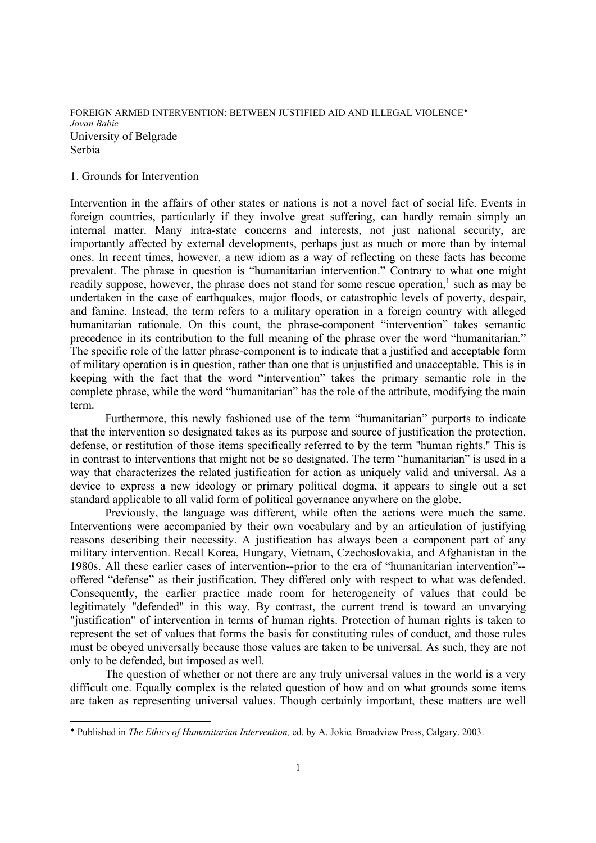FOREIGN ARMED INTERVENTION: BETWEEN JUSTIFIED AID AND ILLEGAL VIOLENCE Jovan Babic University of Belgrade Serbia

#### 1. Grounds for Intervention

Intervention in the affairs of other states or nations is not a novel fact of social life. Events in foreign countries, particularly if they involve great suffering, can hardly remain simply an internal matter. Many intra-state concerns and interests, not just national security, are importantly affected by external developments, perhaps just as much or more than by internal ones. In recent times, however, a new idiom as a way of reflecting on these facts has become prevalent. The phrase in question is "humanitarian intervention." Contrary to what one might readily suppose, however, the phrase does not stand for some rescue operation,<sup>1</sup> such as may be undertaken in the case of earthquakes, major floods, or catastrophic levels of poverty, despair, and famine. Instead, the term refers to a military operation in a foreign country with alleged humanitarian rationale. On this count, the phrase-component "intervention" takes semantic precedence in its contribution to the full meaning of the phrase over the word "humanitarian." The specific role of the latter phrase-component is to indicate that a justified and acceptable form of military operation is in question, rather than one that is unjustified and unacceptable. This is in keeping with the fact that the word "intervention" takes the primary semantic role in the complete phrase, while the word "humanitarian" has the role of the attribute, modifying the main term.

 Furthermore, this newly fashioned use of the term "humanitarian" purports to indicate that the intervention so designated takes as its purpose and source of justification the protection, defense, or restitution of those items specifically referred to by the term "human rights." This is in contrast to interventions that might not be so designated. The term "humanitarian" is used in a way that characterizes the related justification for action as uniquely valid and universal. As a device to express a new ideology or primary political dogma, it appears to single out a set standard applicable to all valid form of political governance anywhere on the globe.

 Previously, the language was different, while often the actions were much the same. Interventions were accompanied by their own vocabulary and by an articulation of justifying reasons describing their necessity. A justification has always been a component part of any military intervention. Recall Korea, Hungary, Vietnam, Czechoslovakia, and Afghanistan in the 1980s. All these earlier cases of intervention--prior to the era of "humanitarian intervention"- offered "defense" as their justification. They differed only with respect to what was defended. Consequently, the earlier practice made room for heterogeneity of values that could be legitimately "defended" in this way. By contrast, the current trend is toward an unvarying "justification" of intervention in terms of human rights. Protection of human rights is taken to represent the set of values that forms the basis for constituting rules of conduct, and those rules must be obeyed universally because those values are taken to be universal. As such, they are not only to be defended, but imposed as well.

 The question of whether or not there are any truly universal values in the world is a very difficult one. Equally complex is the related question of how and on what grounds some items are taken as representing universal values. Though certainly important, these matters are well

Published in The Ethics of Humanitarian Intervention, ed. by A. Jokic, Broadview Press, Calgary. 2003.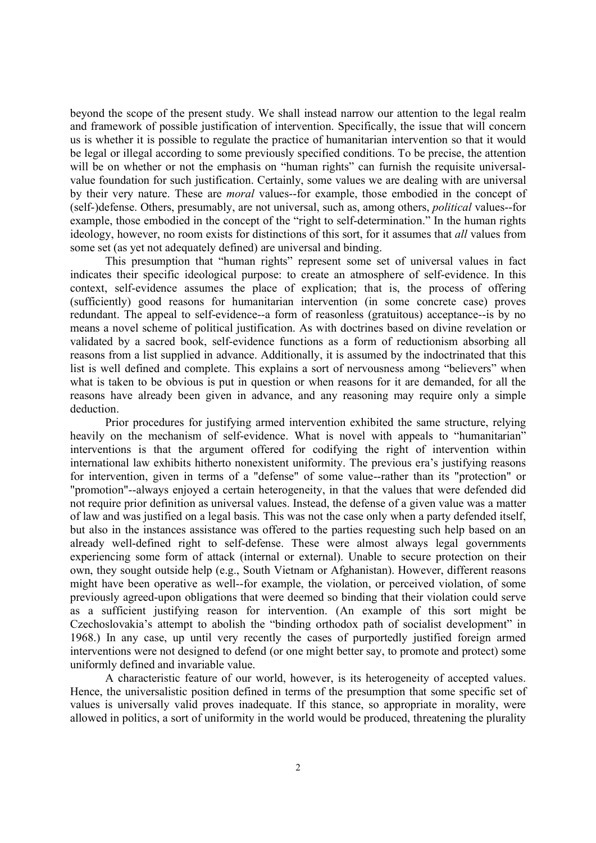beyond the scope of the present study. We shall instead narrow our attention to the legal realm and framework of possible justification of intervention. Specifically, the issue that will concern us is whether it is possible to regulate the practice of humanitarian intervention so that it would be legal or illegal according to some previously specified conditions. To be precise, the attention will be on whether or not the emphasis on "human rights" can furnish the requisite universalvalue foundation for such justification. Certainly, some values we are dealing with are universal by their very nature. These are moral values--for example, those embodied in the concept of (self-)defense. Others, presumably, are not universal, such as, among others, political values--for example, those embodied in the concept of the "right to self-determination." In the human rights ideology, however, no room exists for distinctions of this sort, for it assumes that *all* values from some set (as yet not adequately defined) are universal and binding.

 This presumption that "human rights" represent some set of universal values in fact indicates their specific ideological purpose: to create an atmosphere of self-evidence. In this context, self-evidence assumes the place of explication; that is, the process of offering (sufficiently) good reasons for humanitarian intervention (in some concrete case) proves redundant. The appeal to self-evidence--a form of reasonless (gratuitous) acceptance--is by no means a novel scheme of political justification. As with doctrines based on divine revelation or validated by a sacred book, self-evidence functions as a form of reductionism absorbing all reasons from a list supplied in advance. Additionally, it is assumed by the indoctrinated that this list is well defined and complete. This explains a sort of nervousness among "believers" when what is taken to be obvious is put in question or when reasons for it are demanded, for all the reasons have already been given in advance, and any reasoning may require only a simple deduction.

 Prior procedures for justifying armed intervention exhibited the same structure, relying heavily on the mechanism of self-evidence. What is novel with appeals to "humanitarian" interventions is that the argument offered for codifying the right of intervention within international law exhibits hitherto nonexistent uniformity. The previous era's justifying reasons for intervention, given in terms of a "defense" of some value--rather than its "protection" or "promotion"--always enjoyed a certain heterogeneity, in that the values that were defended did not require prior definition as universal values. Instead, the defense of a given value was a matter of law and was justified on a legal basis. This was not the case only when a party defended itself, but also in the instances assistance was offered to the parties requesting such help based on an already well-defined right to self-defense. These were almost always legal governments experiencing some form of attack (internal or external). Unable to secure protection on their own, they sought outside help (e.g., South Vietnam or Afghanistan). However, different reasons might have been operative as well--for example, the violation, or perceived violation, of some previously agreed-upon obligations that were deemed so binding that their violation could serve as a sufficient justifying reason for intervention. (An example of this sort might be Czechoslovakia's attempt to abolish the "binding orthodox path of socialist development" in 1968.) In any case, up until very recently the cases of purportedly justified foreign armed interventions were not designed to defend (or one might better say, to promote and protect) some uniformly defined and invariable value.

 A characteristic feature of our world, however, is its heterogeneity of accepted values. Hence, the universalistic position defined in terms of the presumption that some specific set of values is universally valid proves inadequate. If this stance, so appropriate in morality, were allowed in politics, a sort of uniformity in the world would be produced, threatening the plurality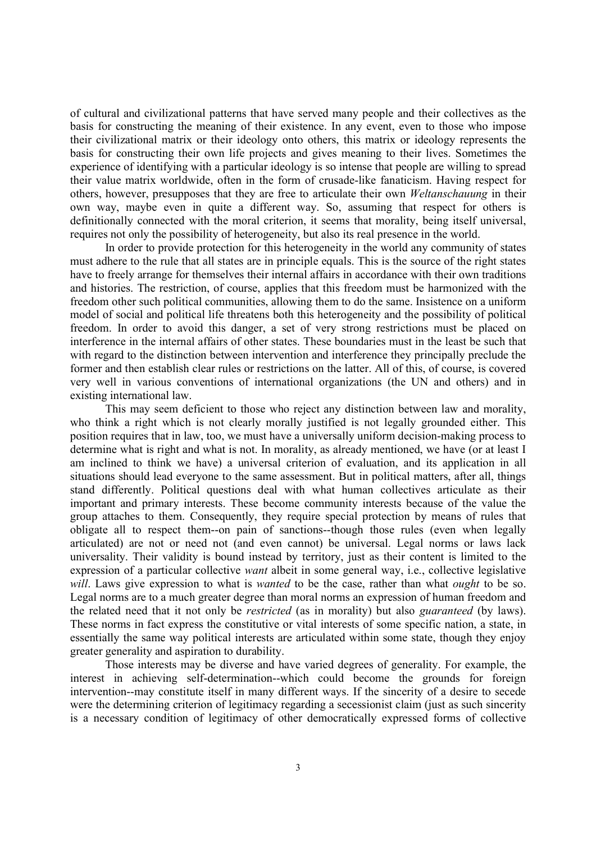of cultural and civilizational patterns that have served many people and their collectives as the basis for constructing the meaning of their existence. In any event, even to those who impose their civilizational matrix or their ideology onto others, this matrix or ideology represents the basis for constructing their own life projects and gives meaning to their lives. Sometimes the experience of identifying with a particular ideology is so intense that people are willing to spread their value matrix worldwide, often in the form of crusade-like fanaticism. Having respect for others, however, presupposes that they are free to articulate their own Weltanschauung in their own way, maybe even in quite a different way. So, assuming that respect for others is definitionally connected with the moral criterion, it seems that morality, being itself universal, requires not only the possibility of heterogeneity, but also its real presence in the world.

 In order to provide protection for this heterogeneity in the world any community of states must adhere to the rule that all states are in principle equals. This is the source of the right states have to freely arrange for themselves their internal affairs in accordance with their own traditions and histories. The restriction, of course, applies that this freedom must be harmonized with the freedom other such political communities, allowing them to do the same. Insistence on a uniform model of social and political life threatens both this heterogeneity and the possibility of political freedom. In order to avoid this danger, a set of very strong restrictions must be placed on interference in the internal affairs of other states. These boundaries must in the least be such that with regard to the distinction between intervention and interference they principally preclude the former and then establish clear rules or restrictions on the latter. All of this, of course, is covered very well in various conventions of international organizations (the UN and others) and in existing international law.

 This may seem deficient to those who reject any distinction between law and morality, who think a right which is not clearly morally justified is not legally grounded either. This position requires that in law, too, we must have a universally uniform decision-making process to determine what is right and what is not. In morality, as already mentioned, we have (or at least I am inclined to think we have) a universal criterion of evaluation, and its application in all situations should lead everyone to the same assessment. But in political matters, after all, things stand differently. Political questions deal with what human collectives articulate as their important and primary interests. These become community interests because of the value the group attaches to them. Consequently, they require special protection by means of rules that obligate all to respect them--on pain of sanctions--though those rules (even when legally articulated) are not or need not (and even cannot) be universal. Legal norms or laws lack universality. Their validity is bound instead by territory, just as their content is limited to the expression of a particular collective want albeit in some general way, i.e., collective legislative will. Laws give expression to what is wanted to be the case, rather than what *ought* to be so. Legal norms are to a much greater degree than moral norms an expression of human freedom and the related need that it not only be restricted (as in morality) but also guaranteed (by laws). These norms in fact express the constitutive or vital interests of some specific nation, a state, in essentially the same way political interests are articulated within some state, though they enjoy greater generality and aspiration to durability.

 Those interests may be diverse and have varied degrees of generality. For example, the interest in achieving self-determination--which could become the grounds for foreign intervention--may constitute itself in many different ways. If the sincerity of a desire to secede were the determining criterion of legitimacy regarding a secessionist claim (just as such sincerity is a necessary condition of legitimacy of other democratically expressed forms of collective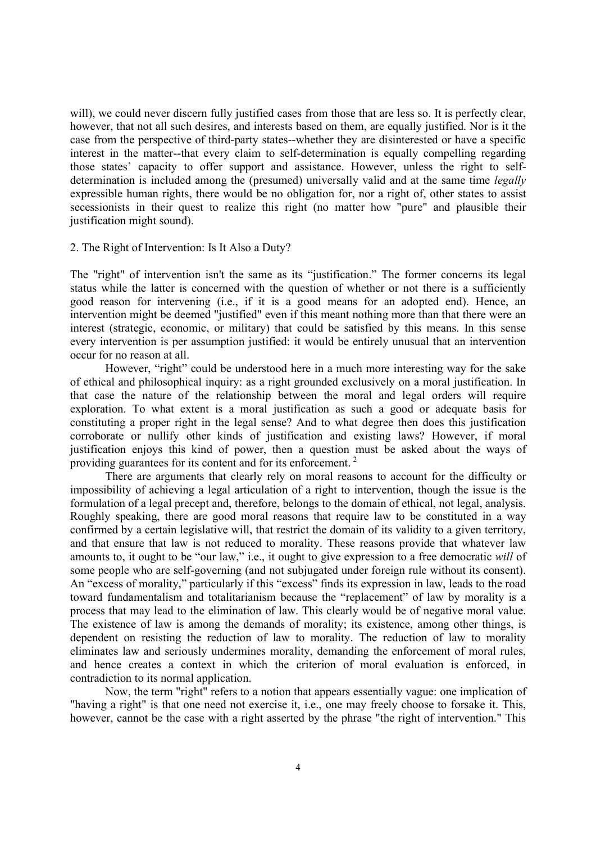will), we could never discern fully justified cases from those that are less so. It is perfectly clear, however, that not all such desires, and interests based on them, are equally justified. Nor is it the case from the perspective of third-party states--whether they are disinterested or have a specific interest in the matter--that every claim to self-determination is equally compelling regarding those states' capacity to offer support and assistance. However, unless the right to selfdetermination is included among the (presumed) universally valid and at the same time *legally* expressible human rights, there would be no obligation for, nor a right of, other states to assist secessionists in their quest to realize this right (no matter how "pure" and plausible their justification might sound).

### 2. The Right of Intervention: Is It Also a Duty?

The "right" of intervention isn't the same as its "justification." The former concerns its legal status while the latter is concerned with the question of whether or not there is a sufficiently good reason for intervening (i.e., if it is a good means for an adopted end). Hence, an intervention might be deemed "justified" even if this meant nothing more than that there were an interest (strategic, economic, or military) that could be satisfied by this means. In this sense every intervention is per assumption justified: it would be entirely unusual that an intervention occur for no reason at all.

 However, "right" could be understood here in a much more interesting way for the sake of ethical and philosophical inquiry: as a right grounded exclusively on a moral justification. In that case the nature of the relationship between the moral and legal orders will require exploration. To what extent is a moral justification as such a good or adequate basis for constituting a proper right in the legal sense? And to what degree then does this justification corroborate or nullify other kinds of justification and existing laws? However, if moral justification enjoys this kind of power, then a question must be asked about the ways of providing guarantees for its content and for its enforcement.<sup>2</sup>

 There are arguments that clearly rely on moral reasons to account for the difficulty or impossibility of achieving a legal articulation of a right to intervention, though the issue is the formulation of a legal precept and, therefore, belongs to the domain of ethical, not legal, analysis. Roughly speaking, there are good moral reasons that require law to be constituted in a way confirmed by a certain legislative will, that restrict the domain of its validity to a given territory, and that ensure that law is not reduced to morality. These reasons provide that whatever law amounts to, it ought to be "our law," i.e., it ought to give expression to a free democratic will of some people who are self-governing (and not subjugated under foreign rule without its consent). An "excess of morality," particularly if this "excess" finds its expression in law, leads to the road toward fundamentalism and totalitarianism because the "replacement" of law by morality is a process that may lead to the elimination of law. This clearly would be of negative moral value. The existence of law is among the demands of morality; its existence, among other things, is dependent on resisting the reduction of law to morality. The reduction of law to morality eliminates law and seriously undermines morality, demanding the enforcement of moral rules, and hence creates a context in which the criterion of moral evaluation is enforced, in contradiction to its normal application.

 Now, the term "right" refers to a notion that appears essentially vague: one implication of "having a right" is that one need not exercise it, i.e., one may freely choose to forsake it. This, however, cannot be the case with a right asserted by the phrase "the right of intervention." This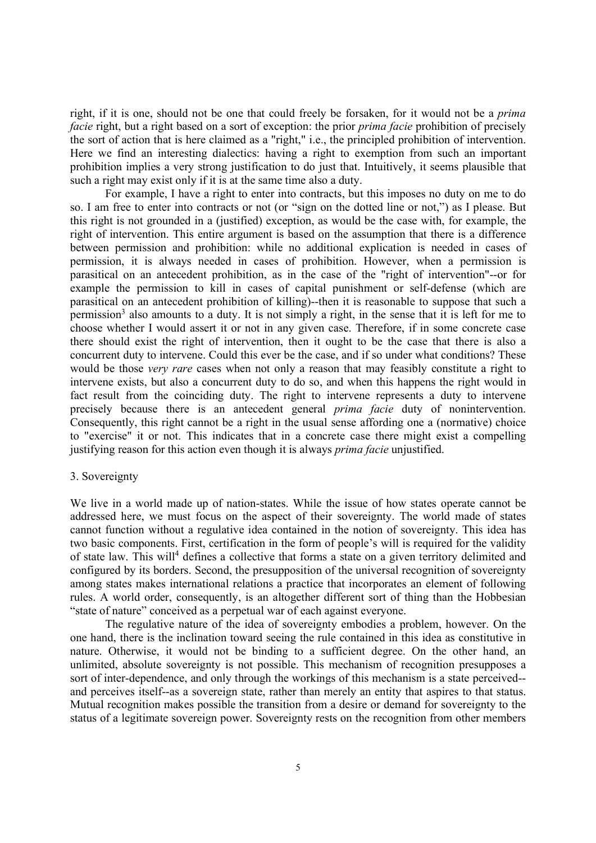right, if it is one, should not be one that could freely be forsaken, for it would not be a prima facie right, but a right based on a sort of exception: the prior *prima facie* prohibition of precisely the sort of action that is here claimed as a "right," i.e., the principled prohibition of intervention. Here we find an interesting dialectics: having a right to exemption from such an important prohibition implies a very strong justification to do just that. Intuitively, it seems plausible that such a right may exist only if it is at the same time also a duty.

 For example, I have a right to enter into contracts, but this imposes no duty on me to do so. I am free to enter into contracts or not (or "sign on the dotted line or not,") as I please. But this right is not grounded in a (justified) exception, as would be the case with, for example, the right of intervention. This entire argument is based on the assumption that there is a difference between permission and prohibition: while no additional explication is needed in cases of permission, it is always needed in cases of prohibition. However, when a permission is parasitical on an antecedent prohibition, as in the case of the "right of intervention"--or for example the permission to kill in cases of capital punishment or self-defense (which are parasitical on an antecedent prohibition of killing)--then it is reasonable to suppose that such a permission<sup>3</sup> also amounts to a duty. It is not simply a right, in the sense that it is left for me to choose whether I would assert it or not in any given case. Therefore, if in some concrete case there should exist the right of intervention, then it ought to be the case that there is also a concurrent duty to intervene. Could this ever be the case, and if so under what conditions? These would be those *very rare* cases when not only a reason that may feasibly constitute a right to intervene exists, but also a concurrent duty to do so, and when this happens the right would in fact result from the coinciding duty. The right to intervene represents a duty to intervene precisely because there is an antecedent general prima facie duty of nonintervention. Consequently, this right cannot be a right in the usual sense affording one a (normative) choice to "exercise" it or not. This indicates that in a concrete case there might exist a compelling justifying reason for this action even though it is always *prima facie* unjustified.

# 3. Sovereignty

We live in a world made up of nation-states. While the issue of how states operate cannot be addressed here, we must focus on the aspect of their sovereignty. The world made of states cannot function without a regulative idea contained in the notion of sovereignty. This idea has two basic components. First, certification in the form of people's will is required for the validity of state law. This will<sup>4</sup> defines a collective that forms a state on a given territory delimited and configured by its borders. Second, the presupposition of the universal recognition of sovereignty among states makes international relations a practice that incorporates an element of following rules. A world order, consequently, is an altogether different sort of thing than the Hobbesian "state of nature" conceived as a perpetual war of each against everyone.

 The regulative nature of the idea of sovereignty embodies a problem, however. On the one hand, there is the inclination toward seeing the rule contained in this idea as constitutive in nature. Otherwise, it would not be binding to a sufficient degree. On the other hand, an unlimited, absolute sovereignty is not possible. This mechanism of recognition presupposes a sort of inter-dependence, and only through the workings of this mechanism is a state perceived- and perceives itself--as a sovereign state, rather than merely an entity that aspires to that status. Mutual recognition makes possible the transition from a desire or demand for sovereignty to the status of a legitimate sovereign power. Sovereignty rests on the recognition from other members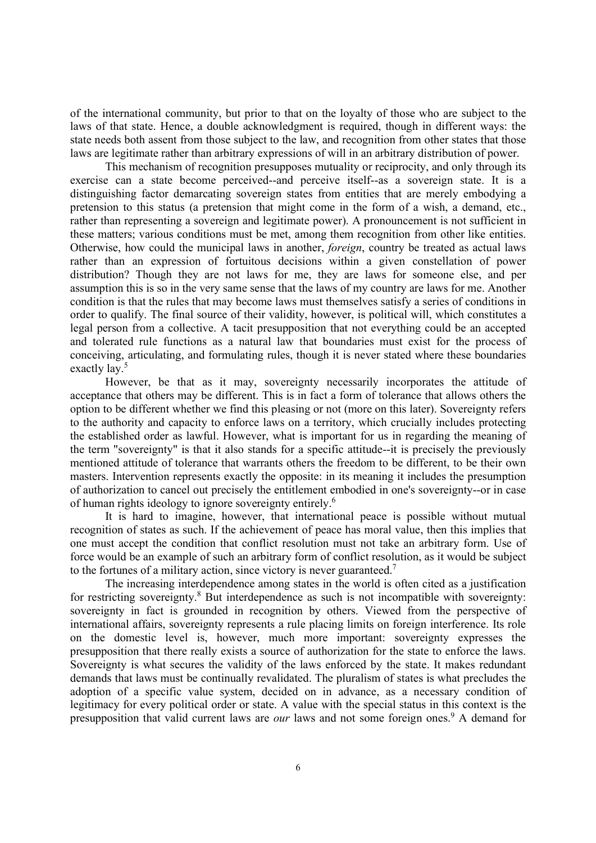of the international community, but prior to that on the loyalty of those who are subject to the laws of that state. Hence, a double acknowledgment is required, though in different ways: the state needs both assent from those subject to the law, and recognition from other states that those laws are legitimate rather than arbitrary expressions of will in an arbitrary distribution of power.

 This mechanism of recognition presupposes mutuality or reciprocity, and only through its exercise can a state become perceived--and perceive itself--as a sovereign state. It is a distinguishing factor demarcating sovereign states from entities that are merely embodying a pretension to this status (a pretension that might come in the form of a wish, a demand, etc., rather than representing a sovereign and legitimate power). A pronouncement is not sufficient in these matters; various conditions must be met, among them recognition from other like entities. Otherwise, how could the municipal laws in another, foreign, country be treated as actual laws rather than an expression of fortuitous decisions within a given constellation of power distribution? Though they are not laws for me, they are laws for someone else, and per assumption this is so in the very same sense that the laws of my country are laws for me. Another condition is that the rules that may become laws must themselves satisfy a series of conditions in order to qualify. The final source of their validity, however, is political will, which constitutes a legal person from a collective. A tacit presupposition that not everything could be an accepted and tolerated rule functions as a natural law that boundaries must exist for the process of conceiving, articulating, and formulating rules, though it is never stated where these boundaries exactly lay.<sup>5</sup>

 However, be that as it may, sovereignty necessarily incorporates the attitude of acceptance that others may be different. This is in fact a form of tolerance that allows others the option to be different whether we find this pleasing or not (more on this later). Sovereignty refers to the authority and capacity to enforce laws on a territory, which crucially includes protecting the established order as lawful. However, what is important for us in regarding the meaning of the term "sovereignty" is that it also stands for a specific attitude--it is precisely the previously mentioned attitude of tolerance that warrants others the freedom to be different, to be their own masters. Intervention represents exactly the opposite: in its meaning it includes the presumption of authorization to cancel out precisely the entitlement embodied in one's sovereignty--or in case of human rights ideology to ignore sovereignty entirely.<sup>6</sup>

 It is hard to imagine, however, that international peace is possible without mutual recognition of states as such. If the achievement of peace has moral value, then this implies that one must accept the condition that conflict resolution must not take an arbitrary form. Use of force would be an example of such an arbitrary form of conflict resolution, as it would be subject to the fortunes of a military action, since victory is never guaranteed.<sup>7</sup>

 The increasing interdependence among states in the world is often cited as a justification for restricting sovereignty.<sup>8</sup> But interdependence as such is not incompatible with sovereignty: sovereignty in fact is grounded in recognition by others. Viewed from the perspective of international affairs, sovereignty represents a rule placing limits on foreign interference. Its role on the domestic level is, however, much more important: sovereignty expresses the presupposition that there really exists a source of authorization for the state to enforce the laws. Sovereignty is what secures the validity of the laws enforced by the state. It makes redundant demands that laws must be continually revalidated. The pluralism of states is what precludes the adoption of a specific value system, decided on in advance, as a necessary condition of legitimacy for every political order or state. A value with the special status in this context is the presupposition that valid current laws are *our* laws and not some foreign ones.<sup>9</sup> A demand for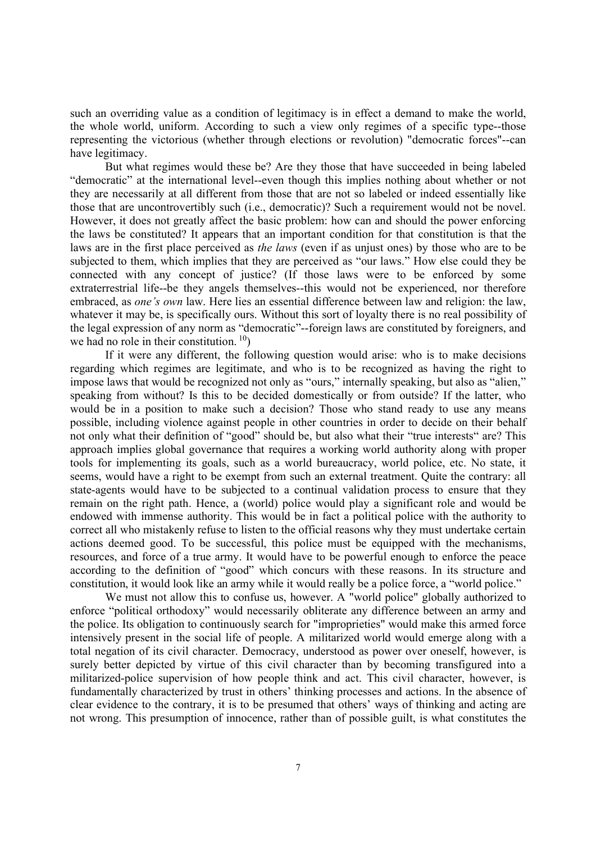such an overriding value as a condition of legitimacy is in effect a demand to make the world, the whole world, uniform. According to such a view only regimes of a specific type--those representing the victorious (whether through elections or revolution) "democratic forces"--can have legitimacy.

 But what regimes would these be? Are they those that have succeeded in being labeled "democratic" at the international level--even though this implies nothing about whether or not they are necessarily at all different from those that are not so labeled or indeed essentially like those that are uncontrovertibly such (i.e., democratic)? Such a requirement would not be novel. However, it does not greatly affect the basic problem: how can and should the power enforcing the laws be constituted? It appears that an important condition for that constitution is that the laws are in the first place perceived as the laws (even if as unjust ones) by those who are to be subjected to them, which implies that they are perceived as "our laws." How else could they be connected with any concept of justice? (If those laws were to be enforced by some extraterrestrial life--be they angels themselves--this would not be experienced, nor therefore embraced, as one's own law. Here lies an essential difference between law and religion: the law, whatever it may be, is specifically ours. Without this sort of loyalty there is no real possibility of the legal expression of any norm as "democratic"--foreign laws are constituted by foreigners, and we had no role in their constitution.<sup>10</sup>)

If it were any different, the following question would arise: who is to make decisions regarding which regimes are legitimate, and who is to be recognized as having the right to impose laws that would be recognized not only as "ours," internally speaking, but also as "alien," speaking from without? Is this to be decided domestically or from outside? If the latter, who would be in a position to make such a decision? Those who stand ready to use any means possible, including violence against people in other countries in order to decide on their behalf not only what their definition of "good" should be, but also what their "true interests" are? This approach implies global governance that requires a working world authority along with proper tools for implementing its goals, such as a world bureaucracy, world police, etc. No state, it seems, would have a right to be exempt from such an external treatment. Quite the contrary: all state-agents would have to be subjected to a continual validation process to ensure that they remain on the right path. Hence, a (world) police would play a significant role and would be endowed with immense authority. This would be in fact a political police with the authority to correct all who mistakenly refuse to listen to the official reasons why they must undertake certain actions deemed good. To be successful, this police must be equipped with the mechanisms, resources, and force of a true army. It would have to be powerful enough to enforce the peace according to the definition of "good" which concurs with these reasons. In its structure and constitution, it would look like an army while it would really be a police force, a "world police."

 We must not allow this to confuse us, however. A "world police" globally authorized to enforce "political orthodoxy" would necessarily obliterate any difference between an army and the police. Its obligation to continuously search for "improprieties" would make this armed force intensively present in the social life of people. A militarized world would emerge along with a total negation of its civil character. Democracy, understood as power over oneself, however, is surely better depicted by virtue of this civil character than by becoming transfigured into a militarized-police supervision of how people think and act. This civil character, however, is fundamentally characterized by trust in others' thinking processes and actions. In the absence of clear evidence to the contrary, it is to be presumed that others' ways of thinking and acting are not wrong. This presumption of innocence, rather than of possible guilt, is what constitutes the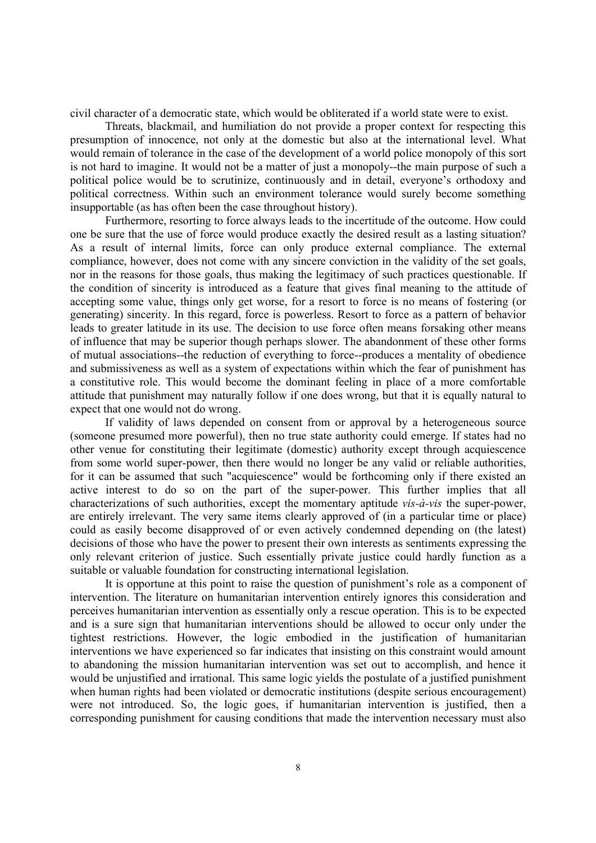civil character of a democratic state, which would be obliterated if a world state were to exist.

 Threats, blackmail, and humiliation do not provide a proper context for respecting this presumption of innocence, not only at the domestic but also at the international level. What would remain of tolerance in the case of the development of a world police monopoly of this sort is not hard to imagine. It would not be a matter of just a monopoly--the main purpose of such a political police would be to scrutinize, continuously and in detail, everyone's orthodoxy and political correctness. Within such an environment tolerance would surely become something insupportable (as has often been the case throughout history).

 Furthermore, resorting to force always leads to the incertitude of the outcome. How could one be sure that the use of force would produce exactly the desired result as a lasting situation? As a result of internal limits, force can only produce external compliance. The external compliance, however, does not come with any sincere conviction in the validity of the set goals, nor in the reasons for those goals, thus making the legitimacy of such practices questionable. If the condition of sincerity is introduced as a feature that gives final meaning to the attitude of accepting some value, things only get worse, for a resort to force is no means of fostering (or generating) sincerity. In this regard, force is powerless. Resort to force as a pattern of behavior leads to greater latitude in its use. The decision to use force often means forsaking other means of influence that may be superior though perhaps slower. The abandonment of these other forms of mutual associations--the reduction of everything to force--produces a mentality of obedience and submissiveness as well as a system of expectations within which the fear of punishment has a constitutive role. This would become the dominant feeling in place of a more comfortable attitude that punishment may naturally follow if one does wrong, but that it is equally natural to expect that one would not do wrong.

 If validity of laws depended on consent from or approval by a heterogeneous source (someone presumed more powerful), then no true state authority could emerge. If states had no other venue for constituting their legitimate (domestic) authority except through acquiescence from some world super-power, then there would no longer be any valid or reliable authorities, for it can be assumed that such "acquiescence" would be forthcoming only if there existed an active interest to do so on the part of the super-power. This further implies that all characterizations of such authorities, except the momentary aptitude vis-à-vis the super-power, are entirely irrelevant. The very same items clearly approved of (in a particular time or place) could as easily become disapproved of or even actively condemned depending on (the latest) decisions of those who have the power to present their own interests as sentiments expressing the only relevant criterion of justice. Such essentially private justice could hardly function as a suitable or valuable foundation for constructing international legislation.

 It is opportune at this point to raise the question of punishment's role as a component of intervention. The literature on humanitarian intervention entirely ignores this consideration and perceives humanitarian intervention as essentially only a rescue operation. This is to be expected and is a sure sign that humanitarian interventions should be allowed to occur only under the tightest restrictions. However, the logic embodied in the justification of humanitarian interventions we have experienced so far indicates that insisting on this constraint would amount to abandoning the mission humanitarian intervention was set out to accomplish, and hence it would be unjustified and irrational. This same logic yields the postulate of a justified punishment when human rights had been violated or democratic institutions (despite serious encouragement) were not introduced. So, the logic goes, if humanitarian intervention is justified, then a corresponding punishment for causing conditions that made the intervention necessary must also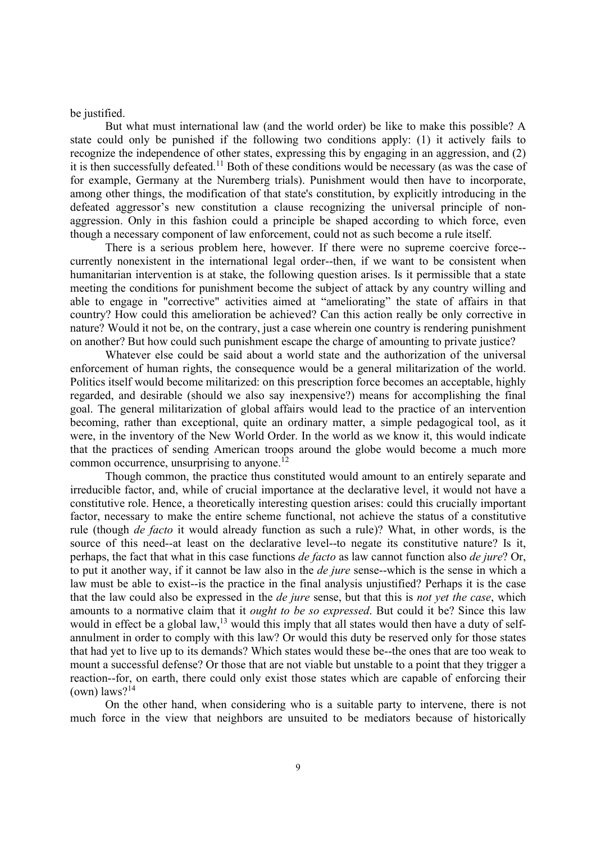be justified.

 But what must international law (and the world order) be like to make this possible? A state could only be punished if the following two conditions apply: (1) it actively fails to recognize the independence of other states, expressing this by engaging in an aggression, and (2) it is then successfully defeated.<sup>11</sup> Both of these conditions would be necessary (as was the case of for example, Germany at the Nuremberg trials). Punishment would then have to incorporate, among other things, the modification of that state's constitution, by explicitly introducing in the defeated aggressor's new constitution a clause recognizing the universal principle of nonaggression. Only in this fashion could a principle be shaped according to which force, even though a necessary component of law enforcement, could not as such become a rule itself.

 There is a serious problem here, however. If there were no supreme coercive force- currently nonexistent in the international legal order--then, if we want to be consistent when humanitarian intervention is at stake, the following question arises. Is it permissible that a state meeting the conditions for punishment become the subject of attack by any country willing and able to engage in "corrective" activities aimed at "ameliorating" the state of affairs in that country? How could this amelioration be achieved? Can this action really be only corrective in nature? Would it not be, on the contrary, just a case wherein one country is rendering punishment on another? But how could such punishment escape the charge of amounting to private justice?

 Whatever else could be said about a world state and the authorization of the universal enforcement of human rights, the consequence would be a general militarization of the world. Politics itself would become militarized: on this prescription force becomes an acceptable, highly regarded, and desirable (should we also say inexpensive?) means for accomplishing the final goal. The general militarization of global affairs would lead to the practice of an intervention becoming, rather than exceptional, quite an ordinary matter, a simple pedagogical tool, as it were, in the inventory of the New World Order. In the world as we know it, this would indicate that the practices of sending American troops around the globe would become a much more common occurrence, unsurprising to anyone. $^{12}$ 

 Though common, the practice thus constituted would amount to an entirely separate and irreducible factor, and, while of crucial importance at the declarative level, it would not have a constitutive role. Hence, a theoretically interesting question arises: could this crucially important factor, necessary to make the entire scheme functional, not achieve the status of a constitutive rule (though de facto it would already function as such a rule)? What, in other words, is the source of this need--at least on the declarative level--to negate its constitutive nature? Is it, perhaps, the fact that what in this case functions de facto as law cannot function also de jure? Or, to put it another way, if it cannot be law also in the de jure sense--which is the sense in which a law must be able to exist--is the practice in the final analysis unjustified? Perhaps it is the case that the law could also be expressed in the de jure sense, but that this is not yet the case, which amounts to a normative claim that it *ought to be so expressed*. But could it be? Since this law would in effect be a global law,<sup>13</sup> would this imply that all states would then have a duty of selfannulment in order to comply with this law? Or would this duty be reserved only for those states that had yet to live up to its demands? Which states would these be--the ones that are too weak to mount a successful defense? Or those that are not viable but unstable to a point that they trigger a reaction--for, on earth, there could only exist those states which are capable of enforcing their (own) laws? $14$ 

 On the other hand, when considering who is a suitable party to intervene, there is not much force in the view that neighbors are unsuited to be mediators because of historically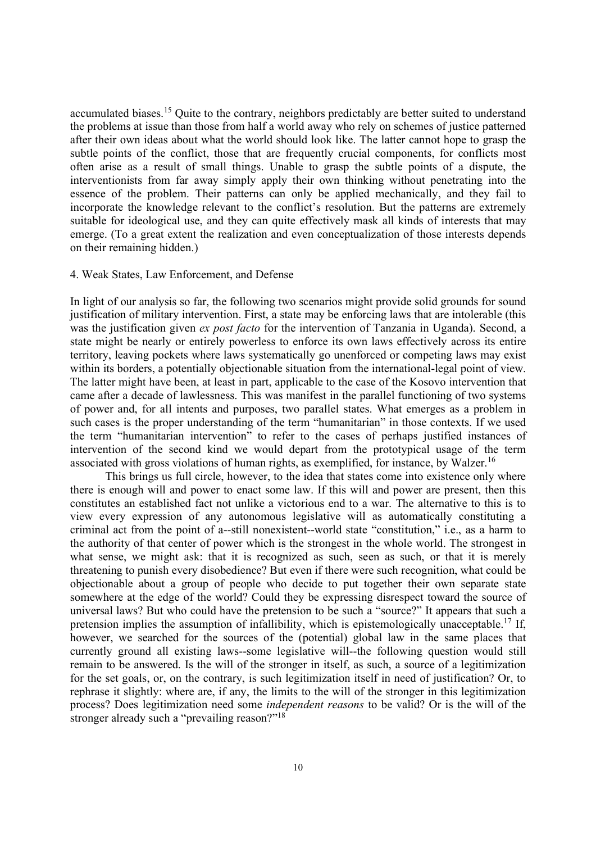accumulated biases.<sup>15</sup> Quite to the contrary, neighbors predictably are better suited to understand the problems at issue than those from half a world away who rely on schemes of justice patterned after their own ideas about what the world should look like. The latter cannot hope to grasp the subtle points of the conflict, those that are frequently crucial components, for conflicts most often arise as a result of small things. Unable to grasp the subtle points of a dispute, the interventionists from far away simply apply their own thinking without penetrating into the essence of the problem. Their patterns can only be applied mechanically, and they fail to incorporate the knowledge relevant to the conflict's resolution. But the patterns are extremely suitable for ideological use, and they can quite effectively mask all kinds of interests that may emerge. (To a great extent the realization and even conceptualization of those interests depends on their remaining hidden.)

### 4. Weak States, Law Enforcement, and Defense

In light of our analysis so far, the following two scenarios might provide solid grounds for sound justification of military intervention. First, a state may be enforcing laws that are intolerable (this was the justification given ex post facto for the intervention of Tanzania in Uganda). Second, a state might be nearly or entirely powerless to enforce its own laws effectively across its entire territory, leaving pockets where laws systematically go unenforced or competing laws may exist within its borders, a potentially objectionable situation from the international-legal point of view. The latter might have been, at least in part, applicable to the case of the Kosovo intervention that came after a decade of lawlessness. This was manifest in the parallel functioning of two systems of power and, for all intents and purposes, two parallel states. What emerges as a problem in such cases is the proper understanding of the term "humanitarian" in those contexts. If we used the term "humanitarian intervention" to refer to the cases of perhaps justified instances of intervention of the second kind we would depart from the prototypical usage of the term associated with gross violations of human rights, as exemplified, for instance, by Walzer.<sup>16</sup>

 This brings us full circle, however, to the idea that states come into existence only where there is enough will and power to enact some law. If this will and power are present, then this constitutes an established fact not unlike a victorious end to a war. The alternative to this is to view every expression of any autonomous legislative will as automatically constituting a criminal act from the point of a--still nonexistent--world state "constitution," i.e., as a harm to the authority of that center of power which is the strongest in the whole world. The strongest in what sense, we might ask: that it is recognized as such, seen as such, or that it is merely threatening to punish every disobedience? But even if there were such recognition, what could be objectionable about a group of people who decide to put together their own separate state somewhere at the edge of the world? Could they be expressing disrespect toward the source of universal laws? But who could have the pretension to be such a "source?" It appears that such a pretension implies the assumption of infallibility, which is epistemologically unacceptable.<sup>17</sup> If, however, we searched for the sources of the (potential) global law in the same places that currently ground all existing laws--some legislative will--the following question would still remain to be answered. Is the will of the stronger in itself, as such, a source of a legitimization for the set goals, or, on the contrary, is such legitimization itself in need of justification? Or, to rephrase it slightly: where are, if any, the limits to the will of the stronger in this legitimization process? Does legitimization need some independent reasons to be valid? Or is the will of the stronger already such a "prevailing reason?"<sup>18</sup>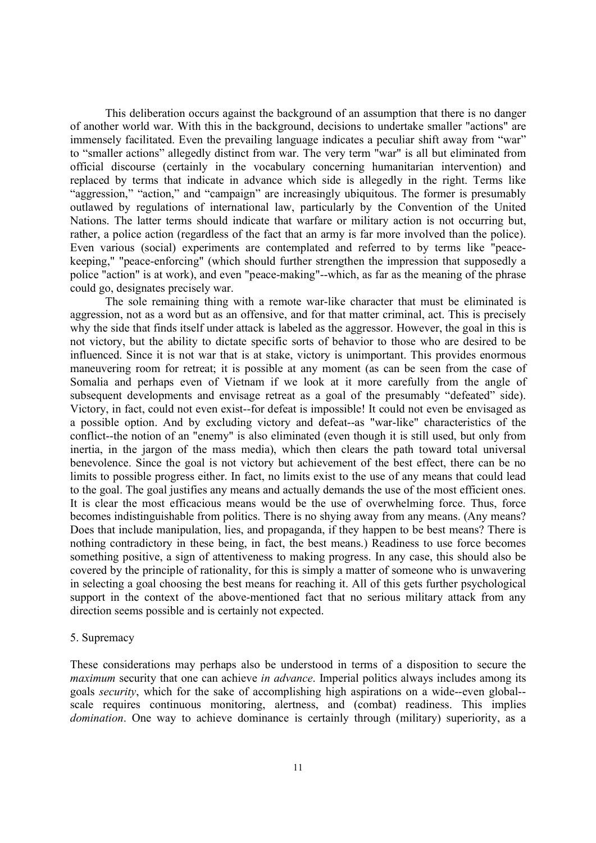This deliberation occurs against the background of an assumption that there is no danger of another world war. With this in the background, decisions to undertake smaller "actions" are immensely facilitated. Even the prevailing language indicates a peculiar shift away from "war" to "smaller actions" allegedly distinct from war. The very term "war" is all but eliminated from official discourse (certainly in the vocabulary concerning humanitarian intervention) and replaced by terms that indicate in advance which side is allegedly in the right. Terms like "aggression," "action," and "campaign" are increasingly ubiquitous. The former is presumably outlawed by regulations of international law, particularly by the Convention of the United Nations. The latter terms should indicate that warfare or military action is not occurring but, rather, a police action (regardless of the fact that an army is far more involved than the police). Even various (social) experiments are contemplated and referred to by terms like "peacekeeping," "peace-enforcing" (which should further strengthen the impression that supposedly a police "action" is at work), and even "peace-making"--which, as far as the meaning of the phrase could go, designates precisely war.

 The sole remaining thing with a remote war-like character that must be eliminated is aggression, not as a word but as an offensive, and for that matter criminal, act. This is precisely why the side that finds itself under attack is labeled as the aggressor. However, the goal in this is not victory, but the ability to dictate specific sorts of behavior to those who are desired to be influenced. Since it is not war that is at stake, victory is unimportant. This provides enormous maneuvering room for retreat; it is possible at any moment (as can be seen from the case of Somalia and perhaps even of Vietnam if we look at it more carefully from the angle of subsequent developments and envisage retreat as a goal of the presumably "defeated" side). Victory, in fact, could not even exist--for defeat is impossible! It could not even be envisaged as a possible option. And by excluding victory and defeat--as "war-like" characteristics of the conflict--the notion of an "enemy" is also eliminated (even though it is still used, but only from inertia, in the jargon of the mass media), which then clears the path toward total universal benevolence. Since the goal is not victory but achievement of the best effect, there can be no limits to possible progress either. In fact, no limits exist to the use of any means that could lead to the goal. The goal justifies any means and actually demands the use of the most efficient ones. It is clear the most efficacious means would be the use of overwhelming force. Thus, force becomes indistinguishable from politics. There is no shying away from any means. (Any means? Does that include manipulation, lies, and propaganda, if they happen to be best means? There is nothing contradictory in these being, in fact, the best means.) Readiness to use force becomes something positive, a sign of attentiveness to making progress. In any case, this should also be covered by the principle of rationality, for this is simply a matter of someone who is unwavering in selecting a goal choosing the best means for reaching it. All of this gets further psychological support in the context of the above-mentioned fact that no serious military attack from any direction seems possible and is certainly not expected.

### 5. Supremacy

These considerations may perhaps also be understood in terms of a disposition to secure the maximum security that one can achieve in advance. Imperial politics always includes among its goals security, which for the sake of accomplishing high aspirations on a wide--even global- scale requires continuous monitoring, alertness, and (combat) readiness. This implies domination. One way to achieve dominance is certainly through (military) superiority, as a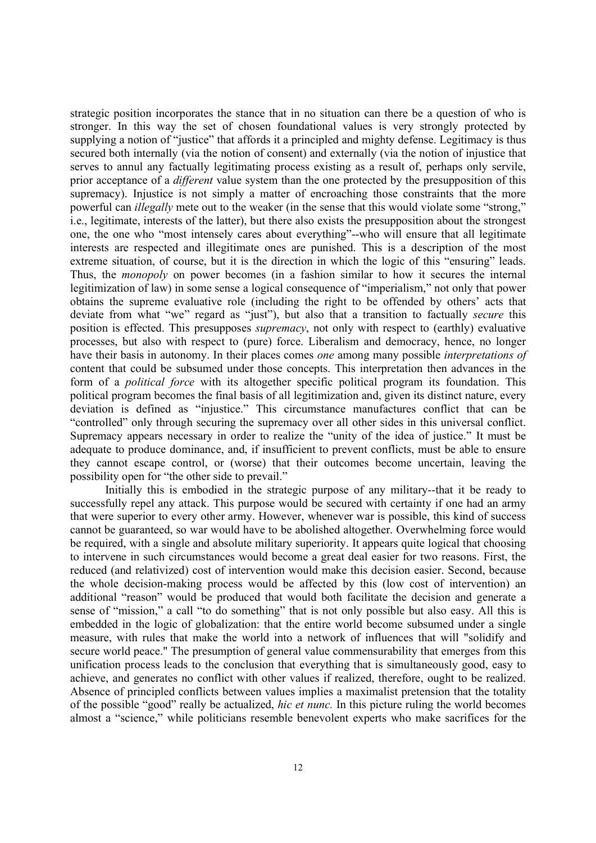strategic position incorporates the stance that in no situation can there be a question of who is stronger. In this way the set of chosen foundational values is very strongly protected by supplying a notion of "justice" that affords it a principled and mighty defense. Legitimacy is thus secured both internally (via the notion of consent) and externally (via the notion of injustice that serves to annul any factually legitimating process existing as a result of, perhaps only servile, prior acceptance of a *different* value system than the one protected by the presupposition of this supremacy). Injustice is not simply a matter of encroaching those constraints that the more powerful can illegally mete out to the weaker (in the sense that this would violate some "strong," i.e., legitimate, interests of the latter), but there also exists the presupposition about the strongest one, the one who "most intensely cares about everything"--who will ensure that all legitimate interests are respected and illegitimate ones are punished. This is a description of the most extreme situation, of course, but it is the direction in which the logic of this "ensuring" leads. Thus, the *monopoly* on power becomes (in a fashion similar to how it secures the internal legitimization of law) in some sense a logical consequence of "imperialism," not only that power obtains the supreme evaluative role (including the right to be offended by others' acts that deviate from what "we" regard as "just"), but also that a transition to factually secure this position is effected. This presupposes *supremacy*, not only with respect to (earthly) evaluative processes, but also with respect to (pure) force. Liberalism and democracy, hence, no longer have their basis in autonomy. In their places comes *one* among many possible *interpretations of* content that could be subsumed under those concepts. This interpretation then advances in the form of a *political force* with its altogether specific political program its foundation. This political program becomes the final basis of all legitimization and, given its distinct nature, every deviation is defined as "injustice." This circumstance manufactures conflict that can be "controlled" only through securing the supremacy over all other sides in this universal conflict. Supremacy appears necessary in order to realize the "unity of the idea of justice." It must be adequate to produce dominance, and, if insufficient to prevent conflicts, must be able to ensure they cannot escape control, or (worse) that their outcomes become uncertain, leaving the possibility open for "the other side to prevail."

 Initially this is embodied in the strategic purpose of any military--that it be ready to successfully repel any attack. This purpose would be secured with certainty if one had an army that were superior to every other army. However, whenever war is possible, this kind of success cannot be guaranteed, so war would have to be abolished altogether. Overwhelming force would be required, with a single and absolute military superiority. It appears quite logical that choosing to intervene in such circumstances would become a great deal easier for two reasons. First, the reduced (and relativized) cost of intervention would make this decision easier. Second, because the whole decision-making process would be affected by this (low cost of intervention) an additional "reason" would be produced that would both facilitate the decision and generate a sense of "mission," a call "to do something" that is not only possible but also easy. All this is embedded in the logic of globalization: that the entire world become subsumed under a single measure, with rules that make the world into a network of influences that will "solidify and secure world peace." The presumption of general value commensurability that emerges from this unification process leads to the conclusion that everything that is simultaneously good, easy to achieve, and generates no conflict with other values if realized, therefore, ought to be realized. Absence of principled conflicts between values implies a maximalist pretension that the totality of the possible "good" really be actualized, hic et nunc. In this picture ruling the world becomes almost a "science," while politicians resemble benevolent experts who make sacrifices for the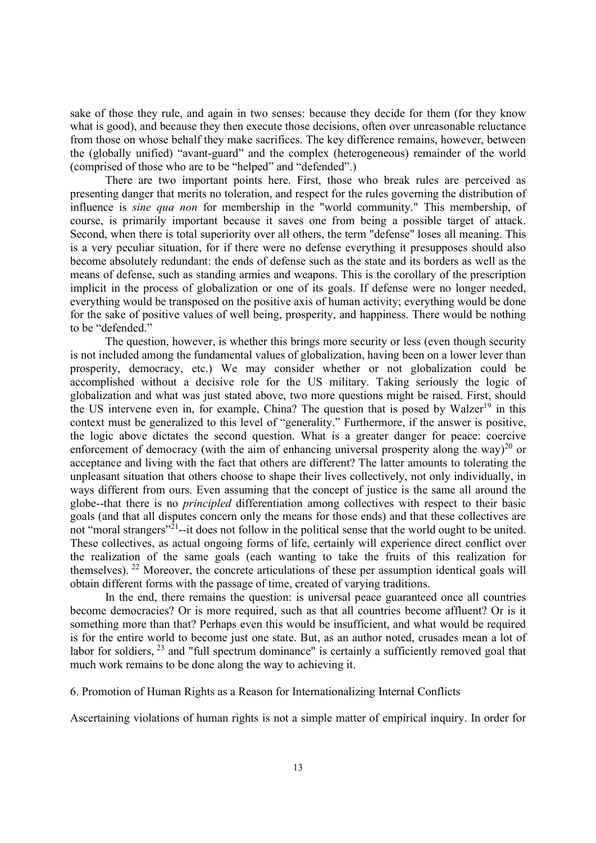sake of those they rule, and again in two senses: because they decide for them (for they know what is good), and because they then execute those decisions, often over unreasonable reluctance from those on whose behalf they make sacrifices. The key difference remains, however, between the (globally unified) "avant-guard" and the complex (heterogeneous) remainder of the world (comprised of those who are to be "helped" and "defended".)

 There are two important points here. First, those who break rules are perceived as presenting danger that merits no toleration, and respect for the rules governing the distribution of influence is sine qua non for membership in the "world community." This membership, of course, is primarily important because it saves one from being a possible target of attack. Second, when there is total superiority over all others, the term "defense" loses all meaning. This is a very peculiar situation, for if there were no defense everything it presupposes should also become absolutely redundant: the ends of defense such as the state and its borders as well as the means of defense, such as standing armies and weapons. This is the corollary of the prescription implicit in the process of globalization or one of its goals. If defense were no longer needed, everything would be transposed on the positive axis of human activity; everything would be done for the sake of positive values of well being, prosperity, and happiness. There would be nothing to be "defended."

 The question, however, is whether this brings more security or less (even though security is not included among the fundamental values of globalization, having been on a lower lever than prosperity, democracy, etc.) We may consider whether or not globalization could be accomplished without a decisive role for the US military. Taking seriously the logic of globalization and what was just stated above, two more questions might be raised. First, should the US intervene even in, for example, China? The question that is posed by Walzer<sup>19</sup> in this context must be generalized to this level of "generality." Furthermore, if the answer is positive, the logic above dictates the second question. What is a greater danger for peace: coercive enforcement of democracy (with the aim of enhancing universal prosperity along the way)<sup>20</sup> or acceptance and living with the fact that others are different? The latter amounts to tolerating the unpleasant situation that others choose to shape their lives collectively, not only individually, in ways different from ours. Even assuming that the concept of justice is the same all around the globe--that there is no principled differentiation among collectives with respect to their basic goals (and that all disputes concern only the means for those ends) and that these collectives are not "moral strangers"<sup>21</sup>--it does not follow in the political sense that the world ought to be united. These collectives, as actual ongoing forms of life, certainly will experience direct conflict over the realization of the same goals (each wanting to take the fruits of this realization for themselves).<sup>22</sup> Moreover, the concrete articulations of these per assumption identical goals will obtain different forms with the passage of time, created of varying traditions.

 In the end, there remains the question: is universal peace guaranteed once all countries become democracies? Or is more required, such as that all countries become affluent? Or is it something more than that? Perhaps even this would be insufficient, and what would be required is for the entire world to become just one state. But, as an author noted, crusades mean a lot of labor for soldiers, <sup>23</sup> and "full spectrum dominance" is certainly a sufficiently removed goal that much work remains to be done along the way to achieving it.

6. Promotion of Human Rights as a Reason for Internationalizing Internal Conflicts

Ascertaining violations of human rights is not a simple matter of empirical inquiry. In order for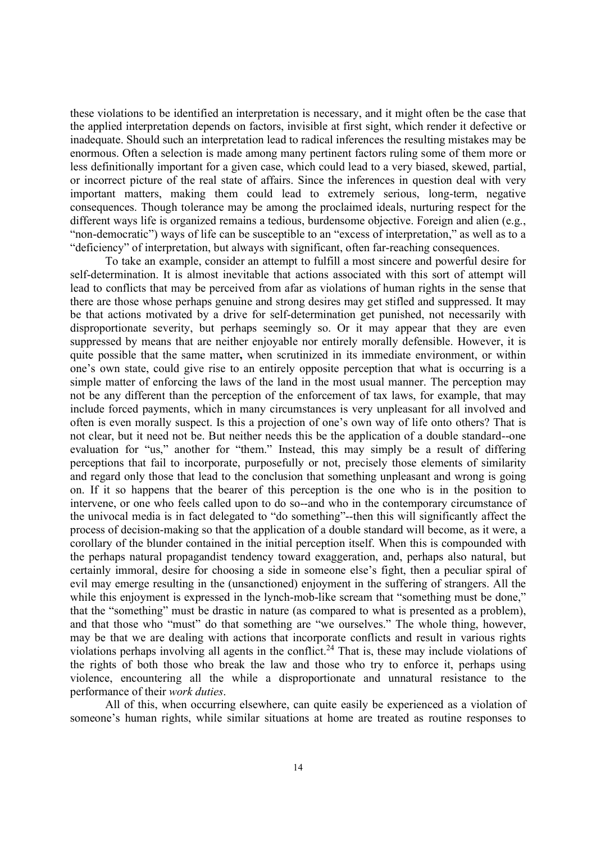these violations to be identified an interpretation is necessary, and it might often be the case that the applied interpretation depends on factors, invisible at first sight, which render it defective or inadequate. Should such an interpretation lead to radical inferences the resulting mistakes may be enormous. Often a selection is made among many pertinent factors ruling some of them more or less definitionally important for a given case, which could lead to a very biased, skewed, partial, or incorrect picture of the real state of affairs. Since the inferences in question deal with very important matters, making them could lead to extremely serious, long-term, negative consequences. Though tolerance may be among the proclaimed ideals, nurturing respect for the different ways life is organized remains a tedious, burdensome objective. Foreign and alien (e.g., "non-democratic") ways of life can be susceptible to an "excess of interpretation," as well as to a "deficiency" of interpretation, but always with significant, often far-reaching consequences.

 To take an example, consider an attempt to fulfill a most sincere and powerful desire for self-determination. It is almost inevitable that actions associated with this sort of attempt will lead to conflicts that may be perceived from afar as violations of human rights in the sense that there are those whose perhaps genuine and strong desires may get stifled and suppressed. It may be that actions motivated by a drive for self-determination get punished, not necessarily with disproportionate severity, but perhaps seemingly so. Or it may appear that they are even suppressed by means that are neither enjoyable nor entirely morally defensible. However, it is quite possible that the same matter, when scrutinized in its immediate environment, or within one's own state, could give rise to an entirely opposite perception that what is occurring is a simple matter of enforcing the laws of the land in the most usual manner. The perception may not be any different than the perception of the enforcement of tax laws, for example, that may include forced payments, which in many circumstances is very unpleasant for all involved and often is even morally suspect. Is this a projection of one's own way of life onto others? That is not clear, but it need not be. But neither needs this be the application of a double standard--one evaluation for "us," another for "them." Instead, this may simply be a result of differing perceptions that fail to incorporate, purposefully or not, precisely those elements of similarity and regard only those that lead to the conclusion that something unpleasant and wrong is going on. If it so happens that the bearer of this perception is the one who is in the position to intervene, or one who feels called upon to do so--and who in the contemporary circumstance of the univocal media is in fact delegated to "do something"--then this will significantly affect the process of decision-making so that the application of a double standard will become, as it were, a corollary of the blunder contained in the initial perception itself. When this is compounded with the perhaps natural propagandist tendency toward exaggeration, and, perhaps also natural, but certainly immoral, desire for choosing a side in someone else's fight, then a peculiar spiral of evil may emerge resulting in the (unsanctioned) enjoyment in the suffering of strangers. All the while this enjoyment is expressed in the lynch-mob-like scream that "something must be done," that the "something" must be drastic in nature (as compared to what is presented as a problem), and that those who "must" do that something are "we ourselves." The whole thing, however, may be that we are dealing with actions that incorporate conflicts and result in various rights violations perhaps involving all agents in the conflict.<sup>24</sup> That is, these may include violations of the rights of both those who break the law and those who try to enforce it, perhaps using violence, encountering all the while a disproportionate and unnatural resistance to the performance of their work duties.

 All of this, when occurring elsewhere, can quite easily be experienced as a violation of someone's human rights, while similar situations at home are treated as routine responses to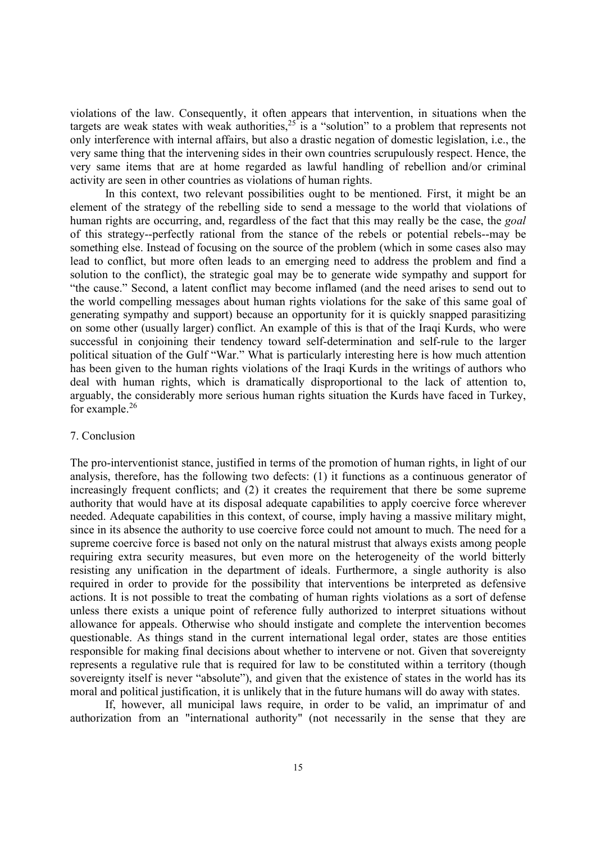violations of the law. Consequently, it often appears that intervention, in situations when the targets are weak states with weak authorities,  $25$  is a "solution" to a problem that represents not only interference with internal affairs, but also a drastic negation of domestic legislation, i.e., the very same thing that the intervening sides in their own countries scrupulously respect. Hence, the very same items that are at home regarded as lawful handling of rebellion and/or criminal activity are seen in other countries as violations of human rights.

 In this context, two relevant possibilities ought to be mentioned. First, it might be an element of the strategy of the rebelling side to send a message to the world that violations of human rights are occurring, and, regardless of the fact that this may really be the case, the goal of this strategy--perfectly rational from the stance of the rebels or potential rebels--may be something else. Instead of focusing on the source of the problem (which in some cases also may lead to conflict, but more often leads to an emerging need to address the problem and find a solution to the conflict), the strategic goal may be to generate wide sympathy and support for "the cause." Second, a latent conflict may become inflamed (and the need arises to send out to the world compelling messages about human rights violations for the sake of this same goal of generating sympathy and support) because an opportunity for it is quickly snapped parasitizing on some other (usually larger) conflict. An example of this is that of the Iraqi Kurds, who were successful in conjoining their tendency toward self-determination and self-rule to the larger political situation of the Gulf "War." What is particularly interesting here is how much attention has been given to the human rights violations of the Iraqi Kurds in the writings of authors who deal with human rights, which is dramatically disproportional to the lack of attention to, arguably, the considerably more serious human rights situation the Kurds have faced in Turkey, for example.<sup>26</sup>

## 7. Conclusion

The pro-interventionist stance, justified in terms of the promotion of human rights, in light of our analysis, therefore, has the following two defects: (1) it functions as a continuous generator of increasingly frequent conflicts; and (2) it creates the requirement that there be some supreme authority that would have at its disposal adequate capabilities to apply coercive force wherever needed. Adequate capabilities in this context, of course, imply having a massive military might, since in its absence the authority to use coercive force could not amount to much. The need for a supreme coercive force is based not only on the natural mistrust that always exists among people requiring extra security measures, but even more on the heterogeneity of the world bitterly resisting any unification in the department of ideals. Furthermore, a single authority is also required in order to provide for the possibility that interventions be interpreted as defensive actions. It is not possible to treat the combating of human rights violations as a sort of defense unless there exists a unique point of reference fully authorized to interpret situations without allowance for appeals. Otherwise who should instigate and complete the intervention becomes questionable. As things stand in the current international legal order, states are those entities responsible for making final decisions about whether to intervene or not. Given that sovereignty represents a regulative rule that is required for law to be constituted within a territory (though sovereignty itself is never "absolute"), and given that the existence of states in the world has its moral and political justification, it is unlikely that in the future humans will do away with states.

 If, however, all municipal laws require, in order to be valid, an imprimatur of and authorization from an "international authority" (not necessarily in the sense that they are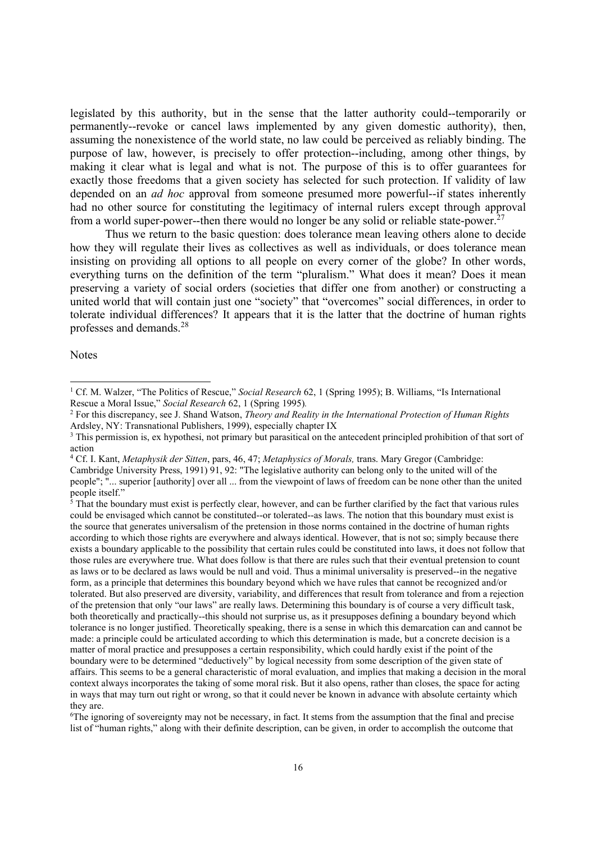legislated by this authority, but in the sense that the latter authority could--temporarily or permanently--revoke or cancel laws implemented by any given domestic authority), then, assuming the nonexistence of the world state, no law could be perceived as reliably binding. The purpose of law, however, is precisely to offer protection--including, among other things, by making it clear what is legal and what is not. The purpose of this is to offer guarantees for exactly those freedoms that a given society has selected for such protection. If validity of law depended on an *ad hoc* approval from someone presumed more powerful--if states inherently had no other source for constituting the legitimacy of internal rulers except through approval from a world super-power--then there would no longer be any solid or reliable state-power.<sup>27</sup>

 Thus we return to the basic question: does tolerance mean leaving others alone to decide how they will regulate their lives as collectives as well as individuals, or does tolerance mean insisting on providing all options to all people on every corner of the globe? In other words, everything turns on the definition of the term "pluralism." What does it mean? Does it mean preserving a variety of social orders (societies that differ one from another) or constructing a united world that will contain just one "society" that "overcomes" social differences, in order to tolerate individual differences? It appears that it is the latter that the doctrine of human rights professes and demands.<sup>28</sup>

**Notes** 

<sup>&</sup>lt;sup>1</sup> Cf. M. Walzer, "The Politics of Rescue," Social Research 62, 1 (Spring 1995); B. Williams, "Is International Rescue a Moral Issue," Social Research 62, 1 (Spring 1995).

 $2$  For this discrepancy, see J. Shand Watson, *Theory and Reality in the International Protection of Human Rights* Ardsley, NY: Transnational Publishers, 1999), especially chapter IX

<sup>&</sup>lt;sup>3</sup> This permission is, ex hypothesi, not primary but parasitical on the antecedent principled prohibition of that sort of action

<sup>&</sup>lt;sup>4</sup> Cf. I. Kant, Metaphysik der Sitten, pars, 46, 47; Metaphysics of Morals, trans. Mary Gregor (Cambridge: Cambridge University Press, 1991) 91, 92: "The legislative authority can belong only to the united will of the people"; "... superior [authority] over all ... from the viewpoint of laws of freedom can be none other than the united

people itself."<br><sup>5</sup> That the boundary must exist is perfectly clear, however, and can be further clarified by the fact that various rules could be envisaged which cannot be constituted--or tolerated--as laws. The notion that this boundary must exist is the source that generates universalism of the pretension in those norms contained in the doctrine of human rights according to which those rights are everywhere and always identical. However, that is not so; simply because there exists a boundary applicable to the possibility that certain rules could be constituted into laws, it does not follow that those rules are everywhere true. What does follow is that there are rules such that their eventual pretension to count as laws or to be declared as laws would be null and void. Thus a minimal universality is preserved--in the negative form, as a principle that determines this boundary beyond which we have rules that cannot be recognized and/or tolerated. But also preserved are diversity, variability, and differences that result from tolerance and from a rejection of the pretension that only "our laws" are really laws. Determining this boundary is of course a very difficult task, both theoretically and practically--this should not surprise us, as it presupposes defining a boundary beyond which tolerance is no longer justified. Theoretically speaking, there is a sense in which this demarcation can and cannot be made: a principle could be articulated according to which this determination is made, but a concrete decision is a matter of moral practice and presupposes a certain responsibility, which could hardly exist if the point of the boundary were to be determined "deductively" by logical necessity from some description of the given state of affairs. This seems to be a general characteristic of moral evaluation, and implies that making a decision in the moral context always incorporates the taking of some moral risk. But it also opens, rather than closes, the space for acting in ways that may turn out right or wrong, so that it could never be known in advance with absolute certainty which they are.

<sup>6</sup>The ignoring of sovereignty may not be necessary, in fact. It stems from the assumption that the final and precise list of "human rights," along with their definite description, can be given, in order to accomplish the outcome that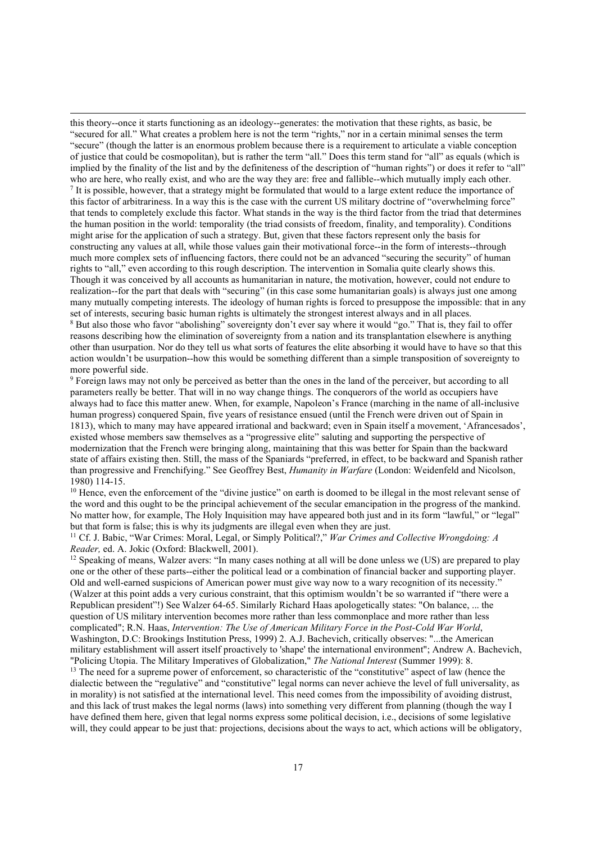this theory--once it starts functioning as an ideology--generates: the motivation that these rights, as basic, be "secured for all." What creates a problem here is not the term "rights," nor in a certain minimal senses the term "secure" (though the latter is an enormous problem because there is a requirement to articulate a viable conception of justice that could be cosmopolitan), but is rather the term "all." Does this term stand for "all" as equals (which is implied by the finality of the list and by the definiteness of the description of "human rights") or does it refer to "all" who are here, who really exist, and who are the way they are: free and fallible--which mutually imply each other. <sup>7</sup> It is possible, however, that a strategy might be formulated that would to a large extent reduce the importance of this factor of arbitrariness. In a way this is the case with the current US military doctrine of "overwhelming force" that tends to completely exclude this factor. What stands in the way is the third factor from the triad that determines the human position in the world: temporality (the triad consists of freedom, finality, and temporality). Conditions might arise for the application of such a strategy. But, given that these factors represent only the basis for constructing any values at all, while those values gain their motivational force--in the form of interests--through much more complex sets of influencing factors, there could not be an advanced "securing the security" of human rights to "all," even according to this rough description. The intervention in Somalia quite clearly shows this. Though it was conceived by all accounts as humanitarian in nature, the motivation, however, could not endure to realization--for the part that deals with "securing" (in this case some humanitarian goals) is always just one among many mutually competing interests. The ideology of human rights is forced to presuppose the impossible: that in any set of interests, securing basic human rights is ultimately the strongest interest always and in all places. <sup>8</sup> But also those who favor "abolishing" sovereignty don't ever say where it would "go." That is, they fail to offer

reasons describing how the elimination of sovereignty from a nation and its transplantation elsewhere is anything other than usurpation. Nor do they tell us what sorts of features the elite absorbing it would have to have so that this action wouldn't be usurpation--how this would be something different than a simple transposition of sovereignty to more powerful side.

9 Foreign laws may not only be perceived as better than the ones in the land of the perceiver, but according to all parameters really be better. That will in no way change things. The conquerors of the world as occupiers have always had to face this matter anew. When, for example, Napoleon's France (marching in the name of all-inclusive human progress) conquered Spain, five years of resistance ensued (until the French were driven out of Spain in 1813), which to many may have appeared irrational and backward; even in Spain itself a movement, 'Afrancesados', existed whose members saw themselves as a "progressive elite" saluting and supporting the perspective of modernization that the French were bringing along, maintaining that this was better for Spain than the backward state of affairs existing then. Still, the mass of the Spaniards "preferred, in effect, to be backward and Spanish rather than progressive and Frenchifying." See Geoffrey Best, Humanity in Warfare (London: Weidenfeld and Nicolson, 1980) 114-15.

<sup>10</sup> Hence, even the enforcement of the "divine justice" on earth is doomed to be illegal in the most relevant sense of the word and this ought to be the principal achievement of the secular emancipation in the progress of the mankind. No matter how, for example, The Holy Inquisition may have appeared both just and in its form "lawful," or "legal" but that form is false; this is why its judgments are illegal even when they are just.

<sup>11</sup> Cf. J. Babic, "War Crimes: Moral, Legal, or Simply Political?," War Crimes and Collective Wrongdoing:  $A$ Reader, ed. A. Jokic (Oxford: Blackwell, 2001).

<sup>12</sup> Speaking of means, Walzer avers: "In many cases nothing at all will be done unless we (US) are prepared to play one or the other of these parts--either the political lead or a combination of financial backer and supporting player. Old and well-earned suspicions of American power must give way now to a wary recognition of its necessity." (Walzer at this point adds a very curious constraint, that this optimism wouldn't be so warranted if "there were a Republican president"!) See Walzer 64-65. Similarly Richard Haas apologetically states: "On balance, ... the question of US military intervention becomes more rather than less commonplace and more rather than less complicated"; R.N. Haas, Intervention: The Use of American Military Force in the Post-Cold War World, Washington, D.C: Brookings Institution Press, 1999) 2. A.J. Bachevich, critically observes: "...the American military establishment will assert itself proactively to 'shape' the international environment"; Andrew A. Bachevich, "Policing Utopia. The Military Imperatives of Globalization," The National Interest (Summer 1999): 8.

<sup>13</sup> The need for a supreme power of enforcement, so characteristic of the "constitutive" aspect of law (hence the dialectic between the "regulative" and "constitutive" legal norms can never achieve the level of full universality, as in morality) is not satisfied at the international level. This need comes from the impossibility of avoiding distrust, and this lack of trust makes the legal norms (laws) into something very different from planning (though the way I have defined them here, given that legal norms express some political decision, i.e., decisions of some legislative will, they could appear to be just that: projections, decisions about the ways to act, which actions will be obligatory,